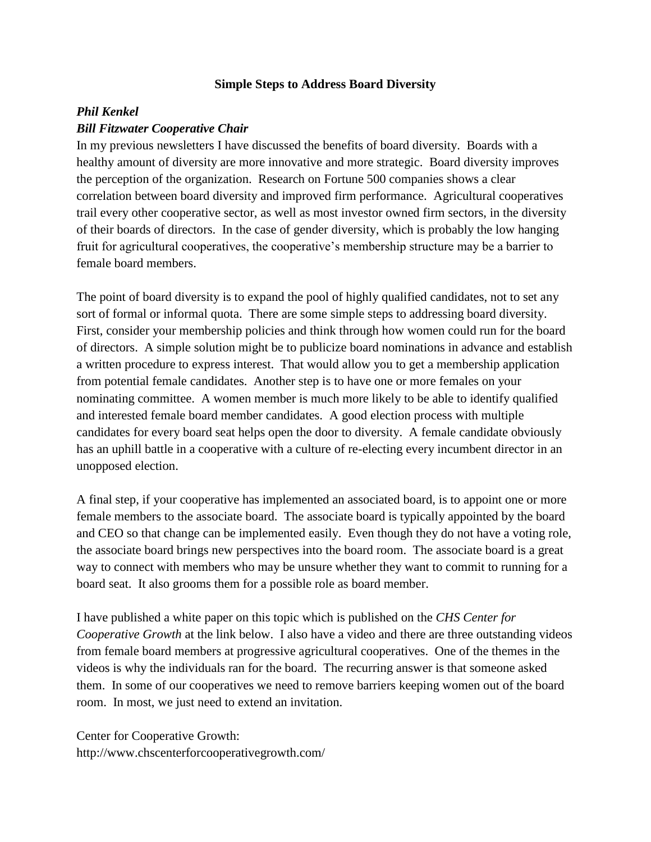## **Simple Steps to Address Board Diversity**

## *Phil Kenkel Bill Fitzwater Cooperative Chair*

In my previous newsletters I have discussed the benefits of board diversity. Boards with a healthy amount of diversity are more innovative and more strategic. Board diversity improves the perception of the organization. Research on Fortune 500 companies shows a clear correlation between board diversity and improved firm performance. Agricultural cooperatives trail every other cooperative sector, as well as most investor owned firm sectors, in the diversity of their boards of directors. In the case of gender diversity, which is probably the low hanging fruit for agricultural cooperatives, the cooperative's membership structure may be a barrier to female board members.

The point of board diversity is to expand the pool of highly qualified candidates, not to set any sort of formal or informal quota. There are some simple steps to addressing board diversity. First, consider your membership policies and think through how women could run for the board of directors. A simple solution might be to publicize board nominations in advance and establish a written procedure to express interest. That would allow you to get a membership application from potential female candidates. Another step is to have one or more females on your nominating committee. A women member is much more likely to be able to identify qualified and interested female board member candidates. A good election process with multiple candidates for every board seat helps open the door to diversity. A female candidate obviously has an uphill battle in a cooperative with a culture of re-electing every incumbent director in an unopposed election.

A final step, if your cooperative has implemented an associated board, is to appoint one or more female members to the associate board. The associate board is typically appointed by the board and CEO so that change can be implemented easily. Even though they do not have a voting role, the associate board brings new perspectives into the board room. The associate board is a great way to connect with members who may be unsure whether they want to commit to running for a board seat. It also grooms them for a possible role as board member.

I have published a white paper on this topic which is published on the *CHS Center for Cooperative Growth* at the link below. I also have a video and there are three outstanding videos from female board members at progressive agricultural cooperatives. One of the themes in the videos is why the individuals ran for the board. The recurring answer is that someone asked them. In some of our cooperatives we need to remove barriers keeping women out of the board room. In most, we just need to extend an invitation.

Center for Cooperative Growth: http://www.chscenterforcooperativegrowth.com/